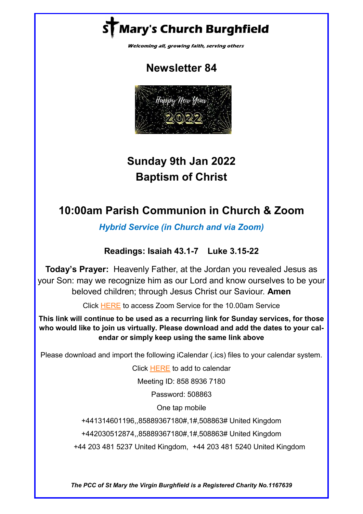# Mary's Church Burghfield

Welcoming all, growing faith, serving others

# **Newsletter 84**



# **Sunday 9th Jan 2022 Baptism of Christ**

# **10:00am Parish Communion in Church & Zoom**

*Hybrid Service (in Church and via Zoom)*

## **Readings: Isaiah 43.1-7 Luke 3.15-22**

**Today's Prayer:** Heavenly Father, at the Jordan you revealed Jesus as your Son: may we recognize him as our Lord and know ourselves to be your beloved children; through Jesus Christ our Saviour. **Amen**

Click [HERE](https://us02web.zoom.us/j/85889367180?pwd=UkdUb0ZRVVQybVlIQnhnMWpRRkFXZz09) to access Zoom Service for the 10.00am Service

**This link will continue to be used as a recurring link for Sunday services, for those who would like to join us virtually. Please download and add the dates to your calendar or simply keep using the same link above**

Please download and import the following iCalendar (.ics) files to your calendar system.

Click [HERE](https://us02web.zoom.us/meeting/tZElf-CrqDwrEtQ5Jk_to1gADHJDrAOeZGRk/ics?icsToken=98tyKuGtpjMjGdKSsRGHRpwMGoqgXenwpmZcj7dsyTXuPDRcMwTXEspoFqBeP93q) to add to calendar

Meeting ID: 858 8936 7180

Password: 508863

One tap mobile

+441314601196,,85889367180#,1#,508863# United Kingdom

+442030512874,,85889367180#,1#,508863# United Kingdom

+44 203 481 5237 United Kingdom, +44 203 481 5240 United Kingdom

*The PCC of St Mary the Virgin Burghfield is a Registered Charity No.1167639*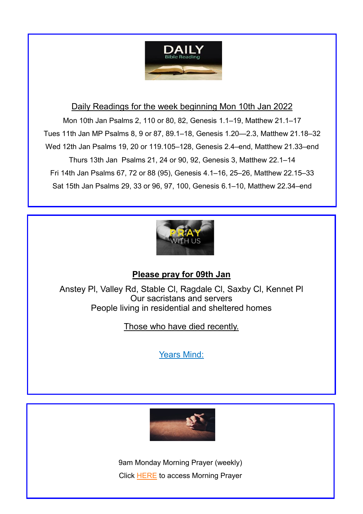

#### Daily Readings for the week beginning Mon 10th Jan 2022

Mon 10th Jan Psalms 2, 110 or 80, 82, Genesis 1.1–19, Matthew 21.1–17 Tues 11th Jan MP Psalms 8, 9 or 87, 89.1–18, Genesis 1.20—2.3, Matthew 21.18–32 Wed 12th Jan Psalms 19, 20 or 119.105–128, Genesis 2.4–end, Matthew 21.33–end Thurs 13th Jan Psalms 21, 24 or 90, 92, Genesis 3, Matthew 22.1–14 Fri 14th Jan Psalms 67, 72 or 88 (95), Genesis 4.1–16, 25–26, Matthew 22.15–33 Sat 15th Jan Psalms 29, 33 or 96, 97, 100, Genesis 6.1–10, Matthew 22.34–end



### **Please pray for 09th Jan**

Anstey Pl, Valley Rd, Stable Cl, Ragdale Cl, Saxby Cl, Kennet Pl Our sacristans and servers People living in residential and sheltered homes

Those who have died recently.

Years Mind:



9am Monday Morning Prayer (weekly) Click [HERE](https://us02web.zoom.us/j/88314699164?pwd=a0xISUlPSm52RVEvSVlNTzRHdHR5dz09) to access Morning Prayer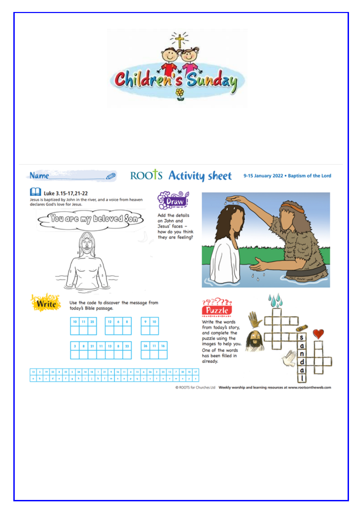

# ROOTS Activity sheet

#### 9-15 January 2022 . Baptism of the Lord

# Luke 3.15-17,21-22

**Name** 

Jesus is baptized by John in the river, and a voice from heaven<br>declares God's love for Jesus.

Ø



Add the details on John and Jesus' faces -



O ROOTS for Churches Ltd Weekly worship and learning resources at www.rootsontheweb.com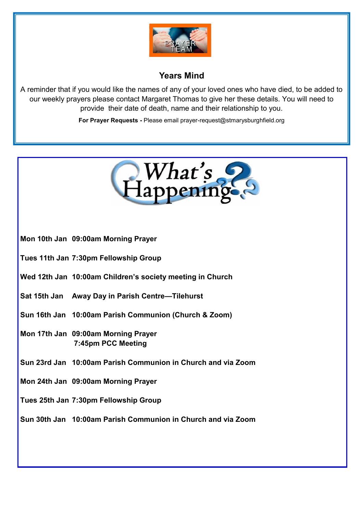

## **Years Mind**

A reminder that if you would like the names of any of your loved ones who have died, to be added to our weekly prayers please contact Margaret Thomas to give her these details. You will need to provide their date of death, name and their relationship to you.

**For Prayer Requests -** Please email prayer-request@stmarysburghfield.org

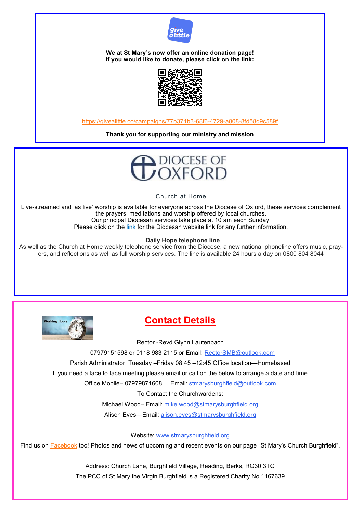

**We at St Mary's now offer an online donation page! If you would like to donate, please click on the link:** 



[https://givealittle.co/campaigns/77b371b3](https://givealittle.co/campaigns/77b371b3-68f6-4729-a808-8fd58d9c589f)-68f6-4729-a808-8fd58d9c589f

**Thank you for supporting our ministry and mission**



Church at Home

Live-streamed and 'as live' worship is available for everyone across the Diocese of Oxford, these services complement the prayers, meditations and worship offered by local churches. Our principal Diocesan services take place at 10 am each Sunday. Please click on the [link](https://www.oxford.anglican.org/coronavirus-covid-19/livestream/?utm_source=Diocese+of+Oxford+Mailing+Lists&utm_campaign=850c4f26e1-EMAIL_CAMPAIGN_2018_06_07_04_41_COPY_01&utm_medium=email&utm_term=0_5e6b832234-850c4f26e1-339828605) for the Diocesan website link for any further information.

#### **Daily Hope telephone line**

As well as the Church at Home weekly telephone service from the Diocese, a new national phoneline offers music, prayers, and reflections as well as full worship services. The line is available 24 hours a day on 0800 804 8044



## **Contact Details**

Rector -Revd Glynn Lautenbach

07979151598 or 0118 983 2115 or Email: RectorSMB@outlook.com

Parish Administrator Tuesday –Friday 08:45 –12:45 Office location—Homebased

If you need a face to face meeting please email or call on the below to arrange a date and time

Office Mobile-07979871608 Email: stmarysburghfield@outlook.com

To Contact the Churchwardens:

Michael Wood– Email: mike.wood@stmarysburghfield.org

Alison Eves—Email: alison.eves@stmarysburghfield.org

Website: www.stmarysburghfield.org

Find us on [Facebook](https://www.facebook.com/St-Marys-Church-Burghfield-161987027181303/) too! Photos and news of upcoming and recent events on our page "St Mary's Church Burghfield".

Address: Church Lane, Burghfield Village, Reading, Berks, RG30 3TG The PCC of St Mary the Virgin Burghfield is a Registered Charity No.1167639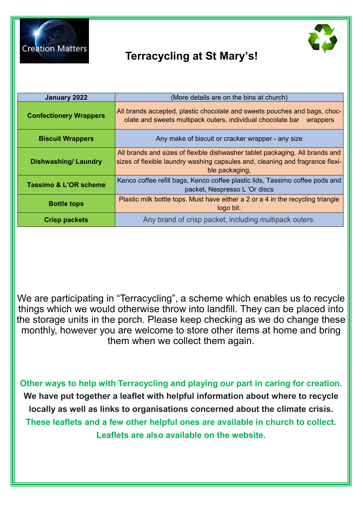

# **Terracycling at St Mary's!**



We are participating in "Terracycling", a scheme which enables us to recycle things which we would otherwise throw into landfill. They can be placed into the storage units in the porch. Please keep checking as we do change these monthly, however you are welcome to store other items at home and bring them when we collect them again.

**Other ways to help with Terracycling and playing our part in caring for creation. We have put together a leaflet with helpful information about where to recycle locally as well as links to organisations concerned about the climate crisis. These leaflets and a few other helpful ones are available in church to collect. Leaflets are also available on the website.**